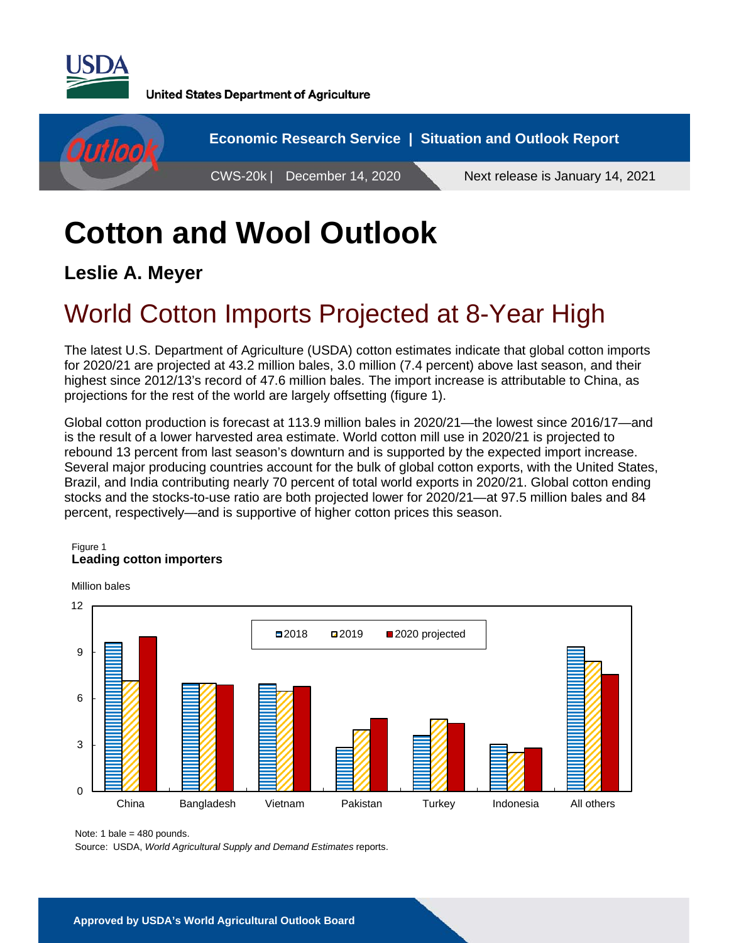

**United States Department of Agriculture** 



# **Cotton and Wool Outlook**

**Leslie A. Meyer** 

## World Cotton Imports Projected at 8-Year High

The latest U.S. Department of Agriculture (USDA) cotton estimates indicate that global cotton imports for 2020/21 are projected at 43.2 million bales, 3.0 million (7.4 percent) above last season, and their highest since 2012/13's record of 47.6 million bales. The import increase is attributable to China, as projections for the rest of the world are largely offsetting (figure 1).

Global cotton production is forecast at 113.9 million bales in 2020/21—the lowest since 2016/17—and is the result of a lower harvested area estimate. World cotton mill use in 2020/21 is projected to rebound 13 percent from last season's downturn and is supported by the expected import increase. Several major producing countries account for the bulk of global cotton exports, with the United States, Brazil, and India contributing nearly 70 percent of total world exports in 2020/21. Global cotton ending stocks and the stocks-to-use ratio are both projected lower for 2020/21—at 97.5 million bales and 84 percent, respectively—and is supportive of higher cotton prices this season.

#### Figure 1 **Leading cotton importers**



Million bales

Note: 1 bale = 480 pounds.

Source: USDA, *World Agricultural Supply and Demand Estimates* reports.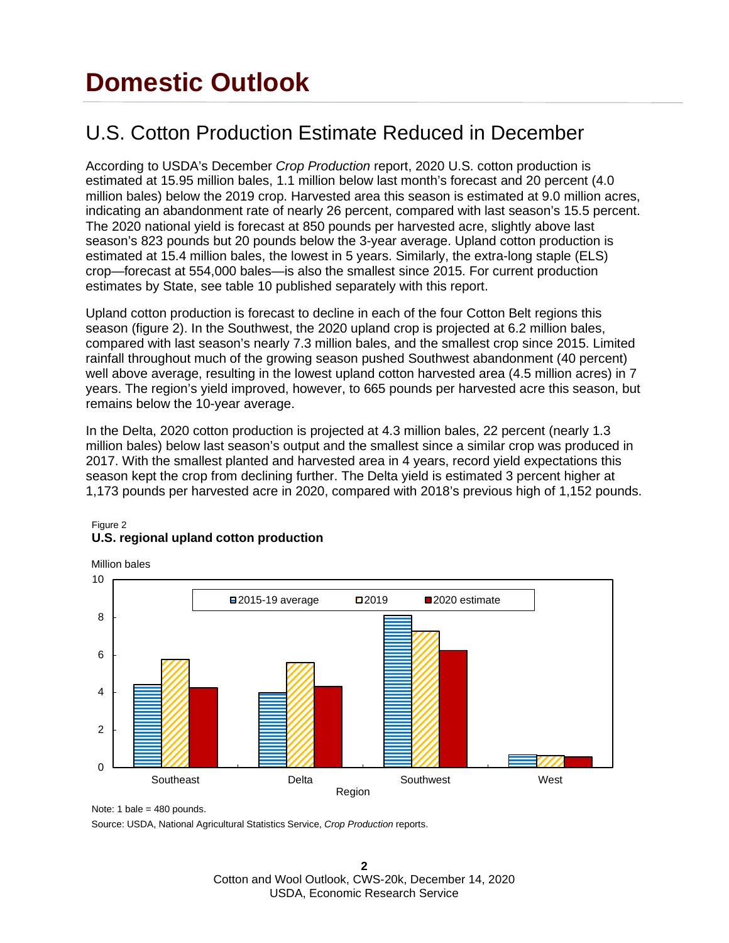## **Domestic Outlook**

## U.S. Cotton Production Estimate Reduced in December

According to USDA's December *Crop Production* report, 2020 U.S. cotton production is estimated at 15.95 million bales, 1.1 million below last month's forecast and 20 percent (4.0 million bales) below the 2019 crop. Harvested area this season is estimated at 9.0 million acres, indicating an abandonment rate of nearly 26 percent, compared with last season's 15.5 percent. The 2020 national yield is forecast at 850 pounds per harvested acre, slightly above last season's 823 pounds but 20 pounds below the 3-year average. Upland cotton production is estimated at 15.4 million bales, the lowest in 5 years. Similarly, the extra-long staple (ELS) crop—forecast at 554,000 bales—is also the smallest since 2015. For current production estimates by State, see table 10 published separately with this report.

Upland cotton production is forecast to decline in each of the four Cotton Belt regions this season (figure 2). In the Southwest, the 2020 upland crop is projected at 6.2 million bales, compared with last season's nearly 7.3 million bales, and the smallest crop since 2015. Limited rainfall throughout much of the growing season pushed Southwest abandonment (40 percent) well above average, resulting in the lowest upland cotton harvested area (4.5 million acres) in 7 years. The region's yield improved, however, to 665 pounds per harvested acre this season, but remains below the 10-year average.

In the Delta, 2020 cotton production is projected at 4.3 million bales, 22 percent (nearly 1.3 million bales) below last season's output and the smallest since a similar crop was produced in 2017. With the smallest planted and harvested area in 4 years, record yield expectations this season kept the crop from declining further. The Delta yield is estimated 3 percent higher at 1,173 pounds per harvested acre in 2020, compared with 2018's previous high of 1,152 pounds.



#### Figure 2 **U.S. regional upland cotton production**

Note: 1 bale =  $480$  pounds.

Source: USDA, National Agricultural Statistics Service, *Crop Production* reports.

**2**  Cotton and Wool Outlook, CWS-20k, December 14, 2020 USDA, Economic Research Service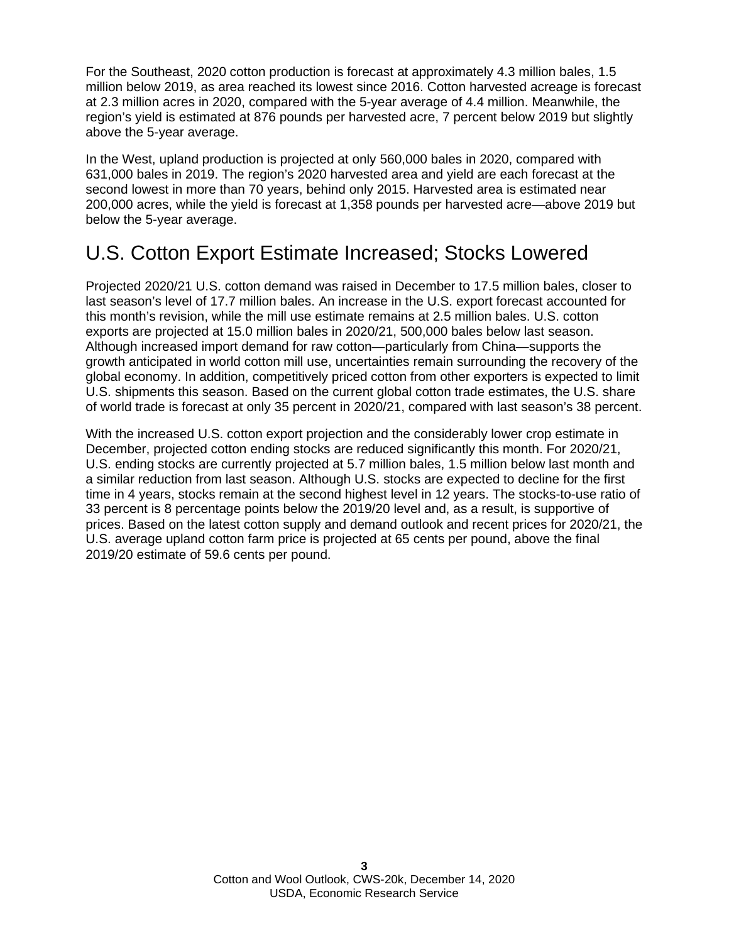For the Southeast, 2020 cotton production is forecast at approximately 4.3 million bales, 1.5 million below 2019, as area reached its lowest since 2016. Cotton harvested acreage is forecast at 2.3 million acres in 2020, compared with the 5-year average of 4.4 million. Meanwhile, the region's yield is estimated at 876 pounds per harvested acre, 7 percent below 2019 but slightly above the 5-year average.

In the West, upland production is projected at only 560,000 bales in 2020, compared with 631,000 bales in 2019. The region's 2020 harvested area and yield are each forecast at the second lowest in more than 70 years, behind only 2015. Harvested area is estimated near 200,000 acres, while the yield is forecast at 1,358 pounds per harvested acre—above 2019 but below the 5-year average.

## U.S. Cotton Export Estimate Increased; Stocks Lowered

Projected 2020/21 U.S. cotton demand was raised in December to 17.5 million bales, closer to last season's level of 17.7 million bales. An increase in the U.S. export forecast accounted for this month's revision, while the mill use estimate remains at 2.5 million bales. U.S. cotton exports are projected at 15.0 million bales in 2020/21, 500,000 bales below last season. Although increased import demand for raw cotton—particularly from China—supports the growth anticipated in world cotton mill use, uncertainties remain surrounding the recovery of the global economy. In addition, competitively priced cotton from other exporters is expected to limit U.S. shipments this season. Based on the current global cotton trade estimates, the U.S. share of world trade is forecast at only 35 percent in 2020/21, compared with last season's 38 percent.

With the increased U.S. cotton export projection and the considerably lower crop estimate in December, projected cotton ending stocks are reduced significantly this month. For 2020/21, U.S. ending stocks are currently projected at 5.7 million bales, 1.5 million below last month and a similar reduction from last season. Although U.S. stocks are expected to decline for the first time in 4 years, stocks remain at the second highest level in 12 years. The stocks-to-use ratio of 33 percent is 8 percentage points below the 2019/20 level and, as a result, is supportive of prices. Based on the latest cotton supply and demand outlook and recent prices for 2020/21, the U.S. average upland cotton farm price is projected at 65 cents per pound, above the final 2019/20 estimate of 59.6 cents per pound.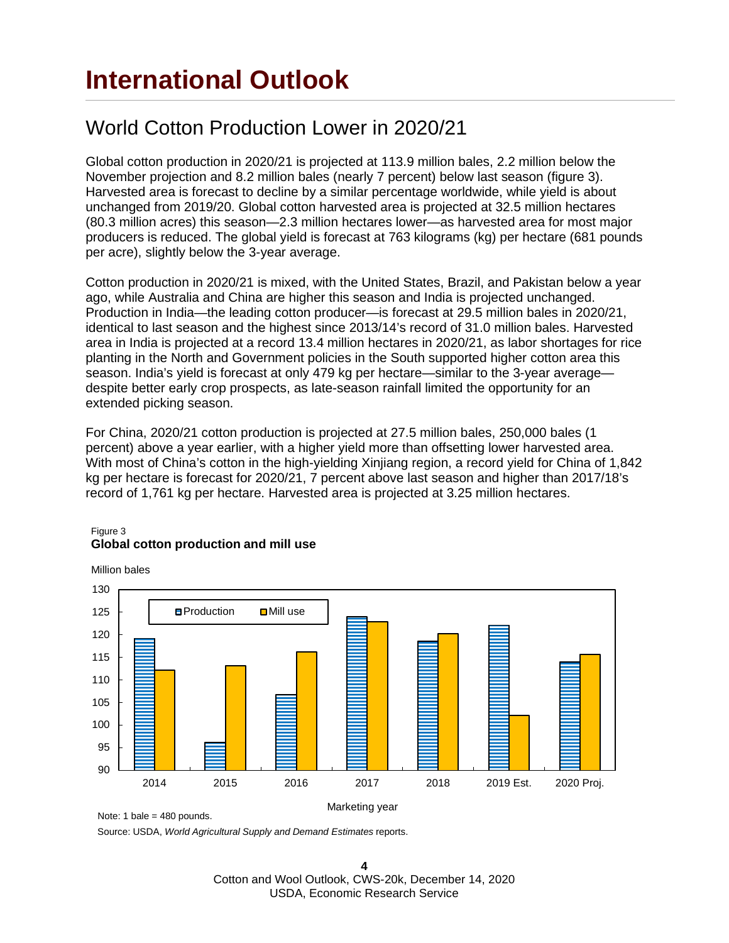## **International Outlook**

### World Cotton Production Lower in 2020/21

Global cotton production in 2020/21 is projected at 113.9 million bales, 2.2 million below the November projection and 8.2 million bales (nearly 7 percent) below last season (figure 3). Harvested area is forecast to decline by a similar percentage worldwide, while yield is about unchanged from 2019/20. Global cotton harvested area is projected at 32.5 million hectares (80.3 million acres) this season—2.3 million hectares lower—as harvested area for most major producers is reduced. The global yield is forecast at 763 kilograms (kg) per hectare (681 pounds per acre), slightly below the 3-year average.

Cotton production in 2020/21 is mixed, with the United States, Brazil, and Pakistan below a year ago, while Australia and China are higher this season and India is projected unchanged. Production in India—the leading cotton producer—is forecast at 29.5 million bales in 2020/21, identical to last season and the highest since 2013/14's record of 31.0 million bales. Harvested area in India is projected at a record 13.4 million hectares in 2020/21, as labor shortages for rice planting in the North and Government policies in the South supported higher cotton area this season. India's yield is forecast at only 479 kg per hectare—similar to the 3-year average despite better early crop prospects, as late-season rainfall limited the opportunity for an extended picking season.

For China, 2020/21 cotton production is projected at 27.5 million bales, 250,000 bales (1 percent) above a year earlier, with a higher yield more than offsetting lower harvested area. With most of China's cotton in the high-yielding Xinjiang region, a record yield for China of 1,842 kg per hectare is forecast for 2020/21, 7 percent above last season and higher than 2017/18's record of 1,761 kg per hectare. Harvested area is projected at 3.25 million hectares.



#### Figure 3 **Global cotton production and mill use**

Note: 1 bale = 480 pounds.

Source: USDA, *World Agricultural Supply and Demand Estimates* reports.

**4** Cotton and Wool Outlook, CWS-20k, December 14, 2020 USDA, Economic Research Service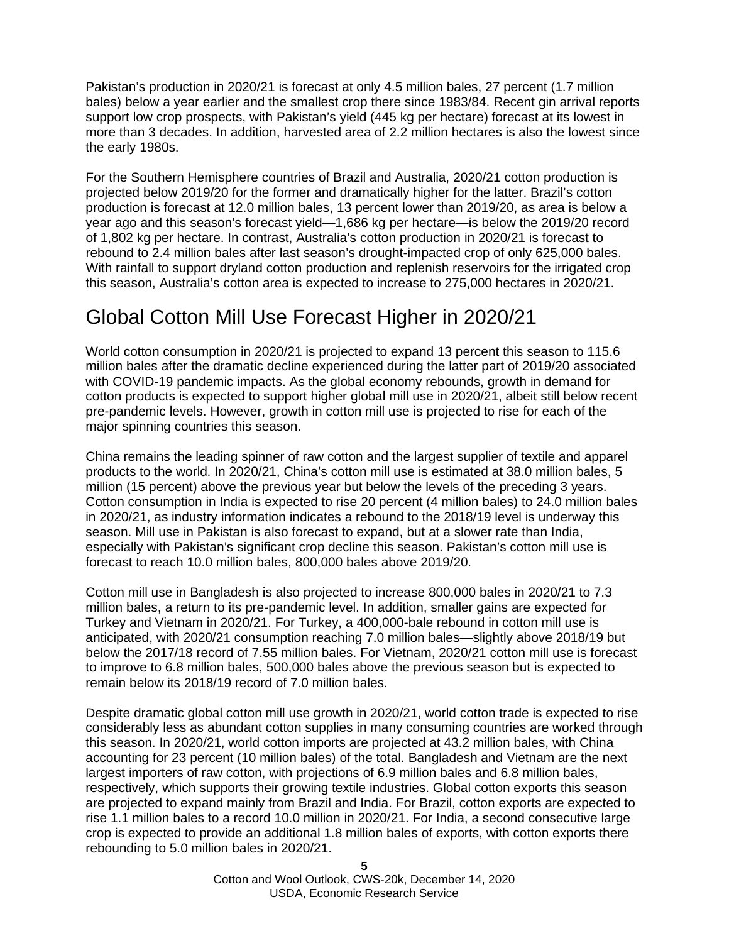Pakistan's production in 2020/21 is forecast at only 4.5 million bales, 27 percent (1.7 million bales) below a year earlier and the smallest crop there since 1983/84. Recent gin arrival reports support low crop prospects, with Pakistan's yield (445 kg per hectare) forecast at its lowest in more than 3 decades. In addition, harvested area of 2.2 million hectares is also the lowest since the early 1980s.

For the Southern Hemisphere countries of Brazil and Australia, 2020/21 cotton production is projected below 2019/20 for the former and dramatically higher for the latter. Brazil's cotton production is forecast at 12.0 million bales, 13 percent lower than 2019/20, as area is below a year ago and this season's forecast yield—1,686 kg per hectare—is below the 2019/20 record of 1,802 kg per hectare. In contrast, Australia's cotton production in 2020/21 is forecast to rebound to 2.4 million bales after last season's drought-impacted crop of only 625,000 bales. With rainfall to support dryland cotton production and replenish reservoirs for the irrigated crop this season, Australia's cotton area is expected to increase to 275,000 hectares in 2020/21.

### Global Cotton Mill Use Forecast Higher in 2020/21

World cotton consumption in 2020/21 is projected to expand 13 percent this season to 115.6 million bales after the dramatic decline experienced during the latter part of 2019/20 associated with COVID-19 pandemic impacts. As the global economy rebounds, growth in demand for cotton products is expected to support higher global mill use in 2020/21, albeit still below recent pre-pandemic levels. However, growth in cotton mill use is projected to rise for each of the major spinning countries this season.

China remains the leading spinner of raw cotton and the largest supplier of textile and apparel products to the world. In 2020/21, China's cotton mill use is estimated at 38.0 million bales, 5 million (15 percent) above the previous year but below the levels of the preceding 3 years. Cotton consumption in India is expected to rise 20 percent (4 million bales) to 24.0 million bales in 2020/21, as industry information indicates a rebound to the 2018/19 level is underway this season. Mill use in Pakistan is also forecast to expand, but at a slower rate than India, especially with Pakistan's significant crop decline this season. Pakistan's cotton mill use is forecast to reach 10.0 million bales, 800,000 bales above 2019/20.

Cotton mill use in Bangladesh is also projected to increase 800,000 bales in 2020/21 to 7.3 million bales, a return to its pre-pandemic level. In addition, smaller gains are expected for Turkey and Vietnam in 2020/21. For Turkey, a 400,000-bale rebound in cotton mill use is anticipated, with 2020/21 consumption reaching 7.0 million bales—slightly above 2018/19 but below the 2017/18 record of 7.55 million bales. For Vietnam, 2020/21 cotton mill use is forecast to improve to 6.8 million bales, 500,000 bales above the previous season but is expected to remain below its 2018/19 record of 7.0 million bales.

Despite dramatic global cotton mill use growth in 2020/21, world cotton trade is expected to rise considerably less as abundant cotton supplies in many consuming countries are worked through this season. In 2020/21, world cotton imports are projected at 43.2 million bales, with China accounting for 23 percent (10 million bales) of the total. Bangladesh and Vietnam are the next largest importers of raw cotton, with projections of 6.9 million bales and 6.8 million bales, respectively, which supports their growing textile industries. Global cotton exports this season are projected to expand mainly from Brazil and India. For Brazil, cotton exports are expected to rise 1.1 million bales to a record 10.0 million in 2020/21. For India, a second consecutive large crop is expected to provide an additional 1.8 million bales of exports, with cotton exports there rebounding to 5.0 million bales in 2020/21.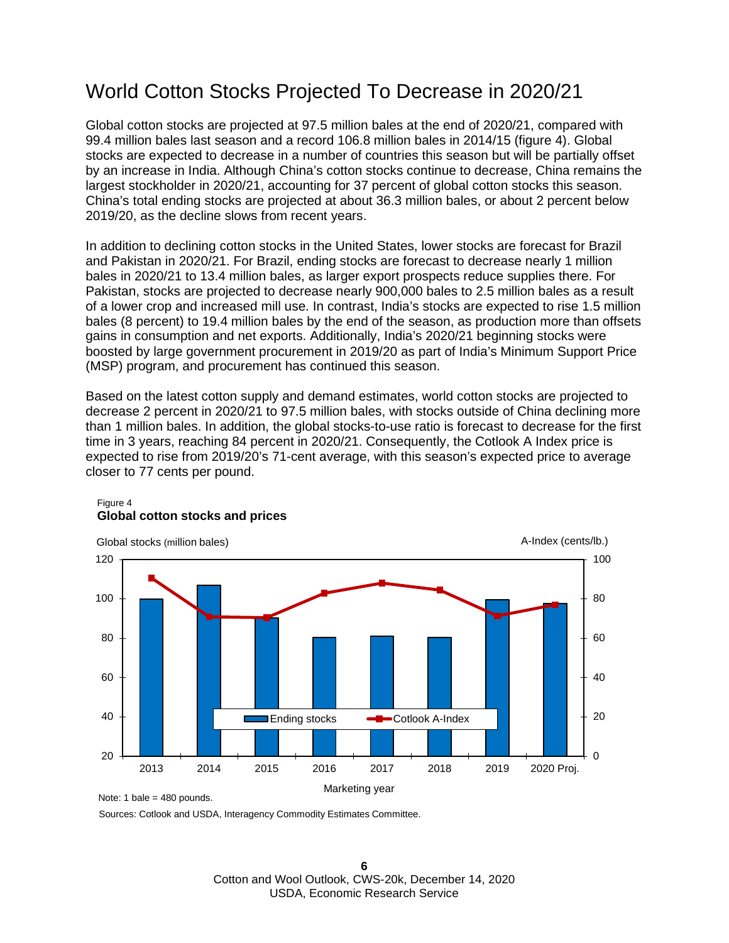### World Cotton Stocks Projected To Decrease in 2020/21

Global cotton stocks are projected at 97.5 million bales at the end of 2020/21, compared with 99.4 million bales last season and a record 106.8 million bales in 2014/15 (figure 4). Global stocks are expected to decrease in a number of countries this season but will be partially offset by an increase in India. Although China's cotton stocks continue to decrease, China remains the largest stockholder in 2020/21, accounting for 37 percent of global cotton stocks this season. China's total ending stocks are projected at about 36.3 million bales, or about 2 percent below 2019/20, as the decline slows from recent years.

In addition to declining cotton stocks in the United States, lower stocks are forecast for Brazil and Pakistan in 2020/21. For Brazil, ending stocks are forecast to decrease nearly 1 million bales in 2020/21 to 13.4 million bales, as larger export prospects reduce supplies there. For Pakistan, stocks are projected to decrease nearly 900,000 bales to 2.5 million bales as a result of a lower crop and increased mill use. In contrast, India's stocks are expected to rise 1.5 million bales (8 percent) to 19.4 million bales by the end of the season, as production more than offsets gains in consumption and net exports. Additionally, India's 2020/21 beginning stocks were boosted by large government procurement in 2019/20 as part of India's Minimum Support Price (MSP) program, and procurement has continued this season.

Based on the latest cotton supply and demand estimates, world cotton stocks are projected to decrease 2 percent in 2020/21 to 97.5 million bales, with stocks outside of China declining more than 1 million bales. In addition, the global stocks-to-use ratio is forecast to decrease for the first time in 3 years, reaching 84 percent in 2020/21. Consequently, the Cotlook A Index price is expected to rise from 2019/20's 71-cent average, with this season's expected price to average closer to 77 cents per pound.



### Figure 4 **Global cotton stocks and prices**

Sources: Cotlook and USDA, Interagency Commodity Estimates Committee.